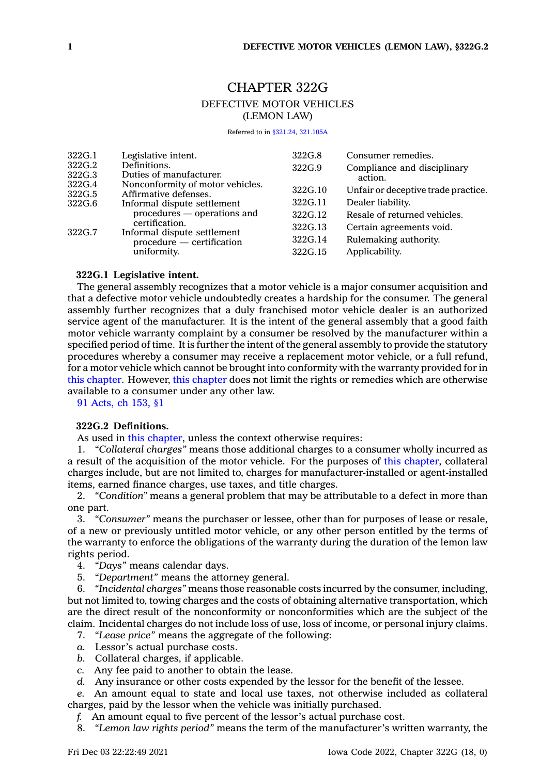# CHAPTER 322G DEFECTIVE MOTOR VEHICLES (LEMON LAW)

Referred to in [§321.24](https://www.legis.iowa.gov/docs/code/321.24.pdf), [321.105A](https://www.legis.iowa.gov/docs/code/321.105A.pdf)

| 322G.1           | Legislative intent.                                                     | 322G.8  | Consumer remedies.                     |
|------------------|-------------------------------------------------------------------------|---------|----------------------------------------|
| 322G.2<br>322G.3 | Definitions.<br>Duties of manufacturer.                                 | 322G.9  | Compliance and disciplinary<br>action. |
| 322G.4<br>322G.5 | Nonconformity of motor vehicles.<br>Affirmative defenses.               | 322G.10 | Unfair or deceptive trade practice.    |
| 322G.6           | Informal dispute settlement                                             | 322G.11 | Dealer liability.                      |
|                  | procedures — operations and<br>certification.                           | 322G.12 | Resale of returned vehicles.           |
| 322G.7           | Informal dispute settlement<br>procedure — certification<br>uniformity. | 322G.13 | Certain agreements void.               |
|                  |                                                                         | 322G.14 | Rulemaking authority.                  |
|                  |                                                                         | 322G.15 | Applicability.                         |

# **322G.1 Legislative intent.**

The general assembly recognizes that <sup>a</sup> motor vehicle is <sup>a</sup> major consumer acquisition and that <sup>a</sup> defective motor vehicle undoubtedly creates <sup>a</sup> hardship for the consumer. The general assembly further recognizes that <sup>a</sup> duly franchised motor vehicle dealer is an authorized service agent of the manufacturer. It is the intent of the general assembly that <sup>a</sup> good faith motor vehicle warranty complaint by <sup>a</sup> consumer be resolved by the manufacturer within <sup>a</sup> specified period of time. It is further the intent of the general assembly to provide the statutory procedures whereby <sup>a</sup> consumer may receive <sup>a</sup> replacement motor vehicle, or <sup>a</sup> full refund, for <sup>a</sup> motor vehicle which cannot be brought into conformity with the warranty provided for in this [chapter](https://www.legis.iowa.gov/docs/code//322G.pdf). However, this [chapter](https://www.legis.iowa.gov/docs/code//322G.pdf) does not limit the rights or remedies which are otherwise available to <sup>a</sup> consumer under any other law.

91 [Acts,](https://www.legis.iowa.gov/docs/acts/1991/CH0153.pdf) ch 153, §1

# **322G.2 Definitions.**

As used in this [chapter](https://www.legis.iowa.gov/docs/code//322G.pdf), unless the context otherwise requires:

1. *"Collateral charges"* means those additional charges to <sup>a</sup> consumer wholly incurred as <sup>a</sup> result of the acquisition of the motor vehicle. For the purposes of this [chapter](https://www.legis.iowa.gov/docs/code//322G.pdf), collateral charges include, but are not limited to, charges for manufacturer-installed or agent-installed items, earned finance charges, use taxes, and title charges.

2. *"Condition"* means <sup>a</sup> general problem that may be attributable to <sup>a</sup> defect in more than one part.

3. *"Consumer"* means the purchaser or lessee, other than for purposes of lease or resale, of <sup>a</sup> new or previously untitled motor vehicle, or any other person entitled by the terms of the warranty to enforce the obligations of the warranty during the duration of the lemon law rights period.

- 4. *"Days"* means calendar days.
- 5. *"Department"* means the attorney general.

6. *"Incidental charges"* means those reasonable costs incurred by the consumer, including, but not limited to, towing charges and the costs of obtaining alternative transportation, which are the direct result of the nonconformity or nonconformities which are the subject of the claim. Incidental charges do not include loss of use, loss of income, or personal injury claims.

- 7. *"Lease price"* means the aggregate of the following:
- *a.* Lessor's actual purchase costs.
- *b.* Collateral charges, if applicable.
- *c.* Any fee paid to another to obtain the lease.
- *d.* Any insurance or other costs expended by the lessor for the benefit of the lessee.

*e.* An amount equal to state and local use taxes, not otherwise included as collateral charges, paid by the lessor when the vehicle was initially purchased.

- *f.* An amount equal to five percent of the lessor's actual purchase cost.
- 8. *"Lemon law rights period"* means the term of the manufacturer's written warranty, the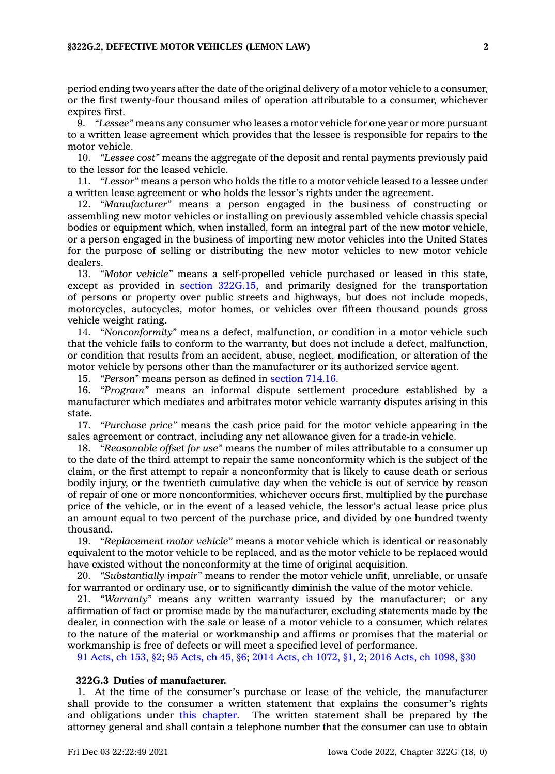### **§322G.2, DEFECTIVE MOTOR VEHICLES (LEMON LAW) 2**

period ending two years after the date of the original delivery of <sup>a</sup> motor vehicle to <sup>a</sup> consumer, or the first twenty-four thousand miles of operation attributable to <sup>a</sup> consumer, whichever expires first.

9. *"Lessee"* means any consumer who leases <sup>a</sup> motor vehicle for one year or more pursuant to <sup>a</sup> written lease agreement which provides that the lessee is responsible for repairs to the motor vehicle.

10. *"Lessee cost"* means the aggregate of the deposit and rental payments previously paid to the lessor for the leased vehicle.

11. *"Lessor"* means <sup>a</sup> person who holds the title to <sup>a</sup> motor vehicle leased to <sup>a</sup> lessee under <sup>a</sup> written lease agreement or who holds the lessor's rights under the agreement.

12. *"Manufacturer"* means <sup>a</sup> person engaged in the business of constructing or assembling new motor vehicles or installing on previously assembled vehicle chassis special bodies or equipment which, when installed, form an integral part of the new motor vehicle, or <sup>a</sup> person engaged in the business of importing new motor vehicles into the United States for the purpose of selling or distributing the new motor vehicles to new motor vehicle dealers.

13. *"Motor vehicle"* means <sup>a</sup> self-propelled vehicle purchased or leased in this state, except as provided in section [322G.15](https://www.legis.iowa.gov/docs/code/322G.15.pdf), and primarily designed for the transportation of persons or property over public streets and highways, but does not include mopeds, motorcycles, autocycles, motor homes, or vehicles over fifteen thousand pounds gross vehicle weight rating.

14. *"Nonconformity"* means <sup>a</sup> defect, malfunction, or condition in <sup>a</sup> motor vehicle such that the vehicle fails to conform to the warranty, but does not include <sup>a</sup> defect, malfunction, or condition that results from an accident, abuse, neglect, modification, or alteration of the motor vehicle by persons other than the manufacturer or its authorized service agent.

15. *"Person"* means person as defined in [section](https://www.legis.iowa.gov/docs/code/714.16.pdf) 714.16.

16. *"Program"* means an informal dispute settlement procedure established by <sup>a</sup> manufacturer which mediates and arbitrates motor vehicle warranty disputes arising in this state.

17. *"Purchase price"* means the cash price paid for the motor vehicle appearing in the sales agreement or contract, including any net allowance given for <sup>a</sup> trade-in vehicle.

18. *"Reasonable offset for use"* means the number of miles attributable to <sup>a</sup> consumer up to the date of the third attempt to repair the same nonconformity which is the subject of the claim, or the first attempt to repair <sup>a</sup> nonconformity that is likely to cause death or serious bodily injury, or the twentieth cumulative day when the vehicle is out of service by reason of repair of one or more nonconformities, whichever occurs first, multiplied by the purchase price of the vehicle, or in the event of <sup>a</sup> leased vehicle, the lessor's actual lease price plus an amount equal to two percent of the purchase price, and divided by one hundred twenty thousand.

19. *"Replacement motor vehicle"* means <sup>a</sup> motor vehicle which is identical or reasonably equivalent to the motor vehicle to be replaced, and as the motor vehicle to be replaced would have existed without the nonconformity at the time of original acquisition.

20. *"Substantially impair"* means to render the motor vehicle unfit, unreliable, or unsafe for warranted or ordinary use, or to significantly diminish the value of the motor vehicle.

21. *"Warranty"* means any written warranty issued by the manufacturer; or any affirmation of fact or promise made by the manufacturer, excluding statements made by the dealer, in connection with the sale or lease of <sup>a</sup> motor vehicle to <sup>a</sup> consumer, which relates to the nature of the material or workmanship and affirms or promises that the material or workmanship is free of defects or will meet <sup>a</sup> specified level of performance.

91 [Acts,](https://www.legis.iowa.gov/docs/acts/1991/CH0153.pdf) ch 153, §2; 95 [Acts,](https://www.legis.iowa.gov/docs/acts/95/CH0045.pdf) ch 45, §6; 2014 Acts, ch [1072,](https://www.legis.iowa.gov/docs/acts/2014/CH1072.pdf) §1, 2; 2016 Acts, ch [1098,](https://www.legis.iowa.gov/docs/acts/2016/CH1098.pdf) §30

# **322G.3 Duties of manufacturer.**

1. At the time of the consumer's purchase or lease of the vehicle, the manufacturer shall provide to the consumer <sup>a</sup> written statement that explains the consumer's rights and obligations under this [chapter](https://www.legis.iowa.gov/docs/code//322G.pdf). The written statement shall be prepared by the attorney general and shall contain <sup>a</sup> telephone number that the consumer can use to obtain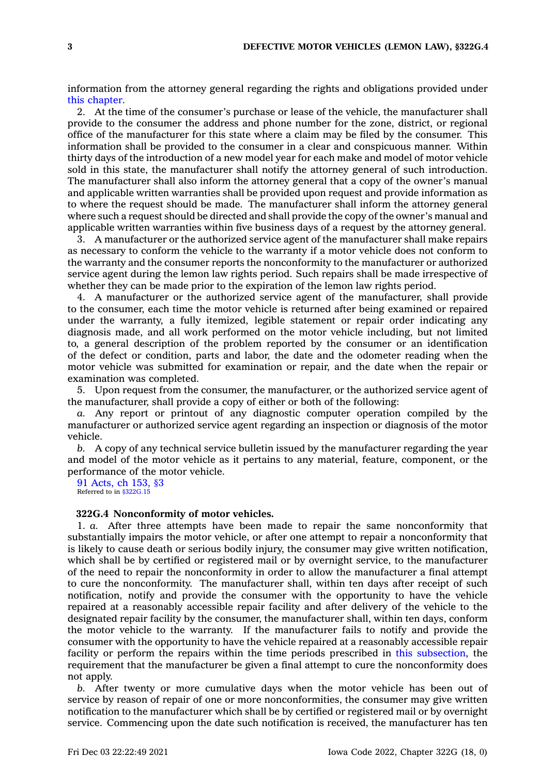information from the attorney general regarding the rights and obligations provided under this [chapter](https://www.legis.iowa.gov/docs/code//322G.pdf).

2. At the time of the consumer's purchase or lease of the vehicle, the manufacturer shall provide to the consumer the address and phone number for the zone, district, or regional office of the manufacturer for this state where <sup>a</sup> claim may be filed by the consumer. This information shall be provided to the consumer in <sup>a</sup> clear and conspicuous manner. Within thirty days of the introduction of <sup>a</sup> new model year for each make and model of motor vehicle sold in this state, the manufacturer shall notify the attorney general of such introduction. The manufacturer shall also inform the attorney general that <sup>a</sup> copy of the owner's manual and applicable written warranties shall be provided upon request and provide information as to where the request should be made. The manufacturer shall inform the attorney general where such <sup>a</sup> request should be directed and shall provide the copy of the owner's manual and applicable written warranties within five business days of <sup>a</sup> request by the attorney general.

3. A manufacturer or the authorized service agent of the manufacturer shall make repairs as necessary to conform the vehicle to the warranty if <sup>a</sup> motor vehicle does not conform to the warranty and the consumer reports the nonconformity to the manufacturer or authorized service agent during the lemon law rights period. Such repairs shall be made irrespective of whether they can be made prior to the expiration of the lemon law rights period.

4. A manufacturer or the authorized service agent of the manufacturer, shall provide to the consumer, each time the motor vehicle is returned after being examined or repaired under the warranty, <sup>a</sup> fully itemized, legible statement or repair order indicating any diagnosis made, and all work performed on the motor vehicle including, but not limited to, <sup>a</sup> general description of the problem reported by the consumer or an identification of the defect or condition, parts and labor, the date and the odometer reading when the motor vehicle was submitted for examination or repair, and the date when the repair or examination was completed.

5. Upon request from the consumer, the manufacturer, or the authorized service agent of the manufacturer, shall provide <sup>a</sup> copy of either or both of the following:

*a.* Any report or printout of any diagnostic computer operation compiled by the manufacturer or authorized service agent regarding an inspection or diagnosis of the motor vehicle.

*b.* A copy of any technical service bulletin issued by the manufacturer regarding the year and model of the motor vehicle as it pertains to any material, feature, component, or the performance of the motor vehicle.

91 [Acts,](https://www.legis.iowa.gov/docs/acts/1991/CH0153.pdf) ch 153, §3 Referred to in [§322G.15](https://www.legis.iowa.gov/docs/code/322G.15.pdf)

### **322G.4 Nonconformity of motor vehicles.**

1. *a.* After three attempts have been made to repair the same nonconformity that substantially impairs the motor vehicle, or after one attempt to repair <sup>a</sup> nonconformity that is likely to cause death or serious bodily injury, the consumer may give written notification, which shall be by certified or registered mail or by overnight service, to the manufacturer of the need to repair the nonconformity in order to allow the manufacturer <sup>a</sup> final attempt to cure the nonconformity. The manufacturer shall, within ten days after receipt of such notification, notify and provide the consumer with the opportunity to have the vehicle repaired at <sup>a</sup> reasonably accessible repair facility and after delivery of the vehicle to the designated repair facility by the consumer, the manufacturer shall, within ten days, conform the motor vehicle to the warranty. If the manufacturer fails to notify and provide the consumer with the opportunity to have the vehicle repaired at <sup>a</sup> reasonably accessible repair facility or perform the repairs within the time periods prescribed in this [subsection](https://www.legis.iowa.gov/docs/code/322G.4.pdf), the requirement that the manufacturer be given <sup>a</sup> final attempt to cure the nonconformity does not apply.

*b.* After twenty or more cumulative days when the motor vehicle has been out of service by reason of repair of one or more nonconformities, the consumer may give written notification to the manufacturer which shall be by certified or registered mail or by overnight service. Commencing upon the date such notification is received, the manufacturer has ten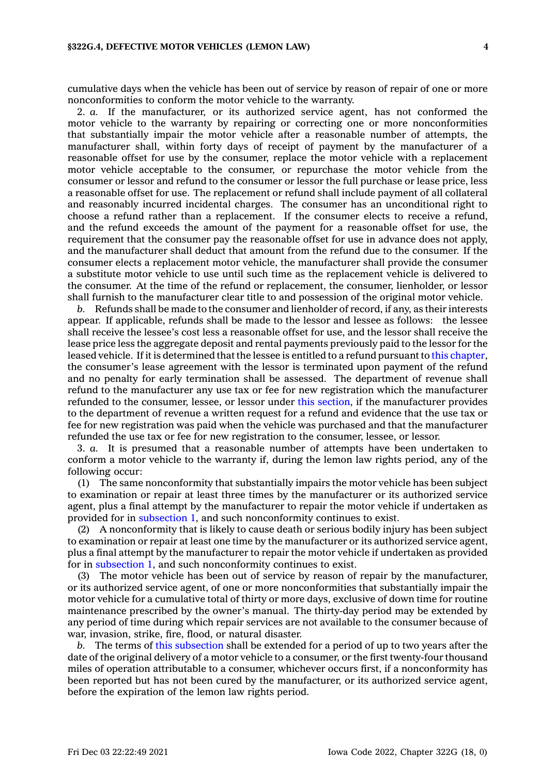cumulative days when the vehicle has been out of service by reason of repair of one or more nonconformities to conform the motor vehicle to the warranty.

2. *a.* If the manufacturer, or its authorized service agent, has not conformed the motor vehicle to the warranty by repairing or correcting one or more nonconformities that substantially impair the motor vehicle after <sup>a</sup> reasonable number of attempts, the manufacturer shall, within forty days of receipt of payment by the manufacturer of <sup>a</sup> reasonable offset for use by the consumer, replace the motor vehicle with <sup>a</sup> replacement motor vehicle acceptable to the consumer, or repurchase the motor vehicle from the consumer or lessor and refund to the consumer or lessor the full purchase or lease price, less <sup>a</sup> reasonable offset for use. The replacement or refund shall include payment of all collateral and reasonably incurred incidental charges. The consumer has an unconditional right to choose <sup>a</sup> refund rather than <sup>a</sup> replacement. If the consumer elects to receive <sup>a</sup> refund, and the refund exceeds the amount of the payment for <sup>a</sup> reasonable offset for use, the requirement that the consumer pay the reasonable offset for use in advance does not apply, and the manufacturer shall deduct that amount from the refund due to the consumer. If the consumer elects <sup>a</sup> replacement motor vehicle, the manufacturer shall provide the consumer <sup>a</sup> substitute motor vehicle to use until such time as the replacement vehicle is delivered to the consumer. At the time of the refund or replacement, the consumer, lienholder, or lessor shall furnish to the manufacturer clear title to and possession of the original motor vehicle.

*b.* Refunds shall be made to the consumer and lienholder of record, if any, as their interests appear. If applicable, refunds shall be made to the lessor and lessee as follows: the lessee shall receive the lessee's cost less <sup>a</sup> reasonable offset for use, and the lessor shall receive the lease price less the aggregate deposit and rental payments previously paid to the lessor for the leased vehicle. If it is determined that the lessee is entitled to <sup>a</sup> refund pursuant to this [chapter](https://www.legis.iowa.gov/docs/code//322G.pdf), the consumer's lease agreement with the lessor is terminated upon payment of the refund and no penalty for early termination shall be assessed. The department of revenue shall refund to the manufacturer any use tax or fee for new registration which the manufacturer refunded to the consumer, lessee, or lessor under this [section](https://www.legis.iowa.gov/docs/code/322G.4.pdf), if the manufacturer provides to the department of revenue <sup>a</sup> written request for <sup>a</sup> refund and evidence that the use tax or fee for new registration was paid when the vehicle was purchased and that the manufacturer refunded the use tax or fee for new registration to the consumer, lessee, or lessor.

3. *a.* It is presumed that <sup>a</sup> reasonable number of attempts have been undertaken to conform <sup>a</sup> motor vehicle to the warranty if, during the lemon law rights period, any of the following occur:

(1) The same nonconformity that substantially impairs the motor vehicle has been subject to examination or repair at least three times by the manufacturer or its authorized service agent, plus <sup>a</sup> final attempt by the manufacturer to repair the motor vehicle if undertaken as provided for in [subsection](https://www.legis.iowa.gov/docs/code/322G.4.pdf) 1, and such nonconformity continues to exist.

(2) A nonconformity that is likely to cause death or serious bodily injury has been subject to examination or repair at least one time by the manufacturer or its authorized service agent, plus <sup>a</sup> final attempt by the manufacturer to repair the motor vehicle if undertaken as provided for in [subsection](https://www.legis.iowa.gov/docs/code/322G.4.pdf) 1, and such nonconformity continues to exist.

(3) The motor vehicle has been out of service by reason of repair by the manufacturer, or its authorized service agent, of one or more nonconformities that substantially impair the motor vehicle for <sup>a</sup> cumulative total of thirty or more days, exclusive of down time for routine maintenance prescribed by the owner's manual. The thirty-day period may be extended by any period of time during which repair services are not available to the consumer because of war, invasion, strike, fire, flood, or natural disaster.

*b.* The terms of this [subsection](https://www.legis.iowa.gov/docs/code/322G.4.pdf) shall be extended for <sup>a</sup> period of up to two years after the date of the original delivery of <sup>a</sup> motor vehicle to <sup>a</sup> consumer, or the first twenty-four thousand miles of operation attributable to <sup>a</sup> consumer, whichever occurs first, if <sup>a</sup> nonconformity has been reported but has not been cured by the manufacturer, or its authorized service agent, before the expiration of the lemon law rights period.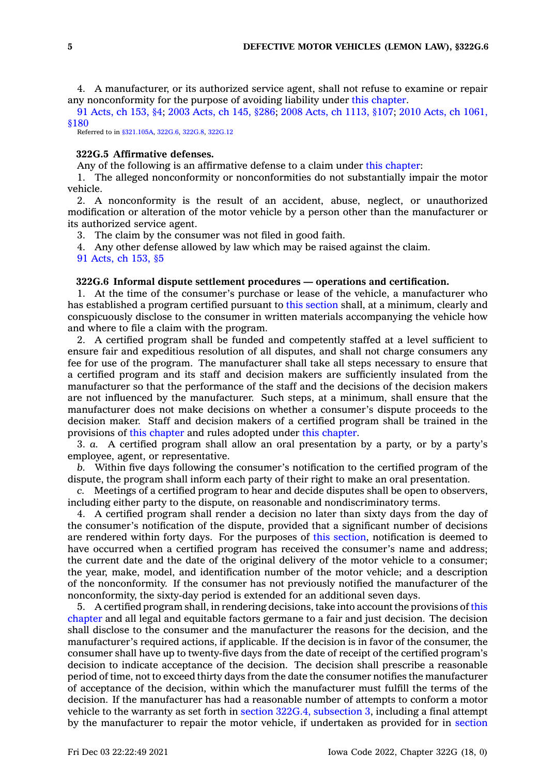4. A manufacturer, or its authorized service agent, shall not refuse to examine or repair any nonconformity for the purpose of avoiding liability under this [chapter](https://www.legis.iowa.gov/docs/code//322G.pdf).

91 [Acts,](https://www.legis.iowa.gov/docs/acts/1991/CH0153.pdf) ch 153, §4; 2003 [Acts,](https://www.legis.iowa.gov/docs/acts/2003/CH0145.pdf) ch 145, §286; 2008 Acts, ch [1113,](https://www.legis.iowa.gov/docs/acts/2008/CH1113.pdf) §107; 2010 Acts, ch [1061,](https://www.legis.iowa.gov/docs/acts/2010/CH1061.pdf) [§180](https://www.legis.iowa.gov/docs/acts/2010/CH1061.pdf)

Referred to in [§321.105A](https://www.legis.iowa.gov/docs/code/321.105A.pdf), [322G.6](https://www.legis.iowa.gov/docs/code/322G.6.pdf), [322G.8](https://www.legis.iowa.gov/docs/code/322G.8.pdf), [322G.12](https://www.legis.iowa.gov/docs/code/322G.12.pdf)

### **322G.5 Affirmative defenses.**

Any of the following is an affirmative defense to <sup>a</sup> claim under this [chapter](https://www.legis.iowa.gov/docs/code//322G.pdf):

1. The alleged nonconformity or nonconformities do not substantially impair the motor vehicle.

2. A nonconformity is the result of an accident, abuse, neglect, or unauthorized modification or alteration of the motor vehicle by <sup>a</sup> person other than the manufacturer or its authorized service agent.

3. The claim by the consumer was not filed in good faith.

4. Any other defense allowed by law which may be raised against the claim.

91 [Acts,](https://www.legis.iowa.gov/docs/acts/1991/CH0153.pdf) ch 153, §5

### **322G.6 Informal dispute settlement procedures — operations and certification.**

1. At the time of the consumer's purchase or lease of the vehicle, <sup>a</sup> manufacturer who has established <sup>a</sup> program certified pursuant to this [section](https://www.legis.iowa.gov/docs/code/322G.6.pdf) shall, at <sup>a</sup> minimum, clearly and conspicuously disclose to the consumer in written materials accompanying the vehicle how and where to file <sup>a</sup> claim with the program.

2. A certified program shall be funded and competently staffed at <sup>a</sup> level sufficient to ensure fair and expeditious resolution of all disputes, and shall not charge consumers any fee for use of the program. The manufacturer shall take all steps necessary to ensure that <sup>a</sup> certified program and its staff and decision makers are sufficiently insulated from the manufacturer so that the performance of the staff and the decisions of the decision makers are not influenced by the manufacturer. Such steps, at <sup>a</sup> minimum, shall ensure that the manufacturer does not make decisions on whether <sup>a</sup> consumer's dispute proceeds to the decision maker. Staff and decision makers of <sup>a</sup> certified program shall be trained in the provisions of this [chapter](https://www.legis.iowa.gov/docs/code//322G.pdf) and rules adopted under this [chapter](https://www.legis.iowa.gov/docs/code//322G.pdf).

3. *a.* A certified program shall allow an oral presentation by <sup>a</sup> party, or by <sup>a</sup> party's employee, agent, or representative.

*b.* Within five days following the consumer's notification to the certified program of the dispute, the program shall inform each party of their right to make an oral presentation.

*c.* Meetings of <sup>a</sup> certified program to hear and decide disputes shall be open to observers, including either party to the dispute, on reasonable and nondiscriminatory terms.

4. A certified program shall render <sup>a</sup> decision no later than sixty days from the day of the consumer's notification of the dispute, provided that <sup>a</sup> significant number of decisions are rendered within forty days. For the purposes of this [section](https://www.legis.iowa.gov/docs/code/322G.6.pdf), notification is deemed to have occurred when <sup>a</sup> certified program has received the consumer's name and address; the current date and the date of the original delivery of the motor vehicle to <sup>a</sup> consumer; the year, make, model, and identification number of the motor vehicle; and <sup>a</sup> description of the nonconformity. If the consumer has not previously notified the manufacturer of the nonconformity, the sixty-day period is extended for an additional seven days.

5. A certified program shall, in rendering decisions, take into account the provisions of [this](https://www.legis.iowa.gov/docs/code//322G.pdf) [chapter](https://www.legis.iowa.gov/docs/code//322G.pdf) and all legal and equitable factors germane to <sup>a</sup> fair and just decision. The decision shall disclose to the consumer and the manufacturer the reasons for the decision, and the manufacturer's required actions, if applicable. If the decision is in favor of the consumer, the consumer shall have up to twenty-five days from the date of receipt of the certified program's decision to indicate acceptance of the decision. The decision shall prescribe <sup>a</sup> reasonable period of time, not to exceed thirty days from the date the consumer notifies the manufacturer of acceptance of the decision, within which the manufacturer must fulfill the terms of the decision. If the manufacturer has had <sup>a</sup> reasonable number of attempts to conform <sup>a</sup> motor vehicle to the warranty as set forth in section 322G.4, [subsection](https://www.legis.iowa.gov/docs/code/322G.4.pdf) 3, including <sup>a</sup> final attempt by the manufacturer to repair the motor vehicle, if undertaken as provided for in [section](https://www.legis.iowa.gov/docs/code/322G.4.pdf)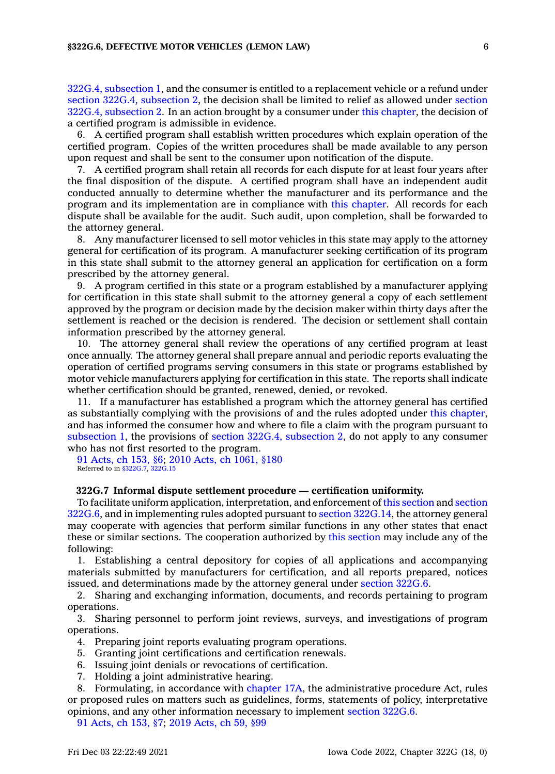322G.4, [subsection](https://www.legis.iowa.gov/docs/code/322G.4.pdf) 1, and the consumer is entitled to <sup>a</sup> replacement vehicle or <sup>a</sup> refund under section 322G.4, [subsection](https://www.legis.iowa.gov/docs/code/322G.4.pdf) 2, the decision shall be limited to relief as allowed under [section](https://www.legis.iowa.gov/docs/code/322G.4.pdf) 322G.4, [subsection](https://www.legis.iowa.gov/docs/code/322G.4.pdf) 2. In an action brought by <sup>a</sup> consumer under this [chapter](https://www.legis.iowa.gov/docs/code//322G.pdf), the decision of <sup>a</sup> certified program is admissible in evidence.

6. A certified program shall establish written procedures which explain operation of the certified program. Copies of the written procedures shall be made available to any person upon request and shall be sent to the consumer upon notification of the dispute.

7. A certified program shall retain all records for each dispute for at least four years after the final disposition of the dispute. A certified program shall have an independent audit conducted annually to determine whether the manufacturer and its performance and the program and its implementation are in compliance with this [chapter](https://www.legis.iowa.gov/docs/code//322G.pdf). All records for each dispute shall be available for the audit. Such audit, upon completion, shall be forwarded to the attorney general.

8. Any manufacturer licensed to sell motor vehicles in this state may apply to the attorney general for certification of its program. A manufacturer seeking certification of its program in this state shall submit to the attorney general an application for certification on <sup>a</sup> form prescribed by the attorney general.

9. A program certified in this state or <sup>a</sup> program established by <sup>a</sup> manufacturer applying for certification in this state shall submit to the attorney general <sup>a</sup> copy of each settlement approved by the program or decision made by the decision maker within thirty days after the settlement is reached or the decision is rendered. The decision or settlement shall contain information prescribed by the attorney general.

10. The attorney general shall review the operations of any certified program at least once annually. The attorney general shall prepare annual and periodic reports evaluating the operation of certified programs serving consumers in this state or programs established by motor vehicle manufacturers applying for certification in this state. The reports shall indicate whether certification should be granted, renewed, denied, or revoked.

11. If <sup>a</sup> manufacturer has established <sup>a</sup> program which the attorney general has certified as substantially complying with the provisions of and the rules adopted under this [chapter](https://www.legis.iowa.gov/docs/code//322G.pdf), and has informed the consumer how and where to file <sup>a</sup> claim with the program pursuant to [subsection](https://www.legis.iowa.gov/docs/code/322G.6.pdf) 1, the provisions of section 322G.4, [subsection](https://www.legis.iowa.gov/docs/code/322G.4.pdf) 2, do not apply to any consumer who has not first resorted to the program.

91 [Acts,](https://www.legis.iowa.gov/docs/acts/1991/CH0153.pdf) ch 153, §6; 2010 Acts, ch [1061,](https://www.legis.iowa.gov/docs/acts/2010/CH1061.pdf) §180 Referred to in [§322G.7](https://www.legis.iowa.gov/docs/code/322G.7.pdf), [322G.15](https://www.legis.iowa.gov/docs/code/322G.15.pdf)

### **322G.7 Informal dispute settlement procedure — certification uniformity.**

To facilitate uniform application, interpretation, and enforcement of this [section](https://www.legis.iowa.gov/docs/code/322G.7.pdf) and [section](https://www.legis.iowa.gov/docs/code/322G.6.pdf) [322G.6](https://www.legis.iowa.gov/docs/code/322G.6.pdf), and in implementing rules adopted pursuant to section [322G.14](https://www.legis.iowa.gov/docs/code/322G.14.pdf), the attorney general may cooperate with agencies that perform similar functions in any other states that enact these or similar sections. The cooperation authorized by this [section](https://www.legis.iowa.gov/docs/code/322G.7.pdf) may include any of the following:

1. Establishing <sup>a</sup> central depository for copies of all applications and accompanying materials submitted by manufacturers for certification, and all reports prepared, notices issued, and determinations made by the attorney general under section [322G.6](https://www.legis.iowa.gov/docs/code/322G.6.pdf).

2. Sharing and exchanging information, documents, and records pertaining to program operations.

3. Sharing personnel to perform joint reviews, surveys, and investigations of program operations.

- 4. Preparing joint reports evaluating program operations.
- 5. Granting joint certifications and certification renewals.
- 6. Issuing joint denials or revocations of certification.
- 7. Holding <sup>a</sup> joint administrative hearing.

8. Formulating, in accordance with [chapter](https://www.legis.iowa.gov/docs/code//17A.pdf) 17A, the administrative procedure Act, rules or proposed rules on matters such as guidelines, forms, statements of policy, interpretative opinions, and any other information necessary to implement [section](https://www.legis.iowa.gov/docs/code/322G.6.pdf) 322G.6.

91 [Acts,](https://www.legis.iowa.gov/docs/acts/1991/CH0153.pdf) ch 153, §7; 2019 [Acts,](https://www.legis.iowa.gov/docs/acts/2019/CH0059.pdf) ch 59, §99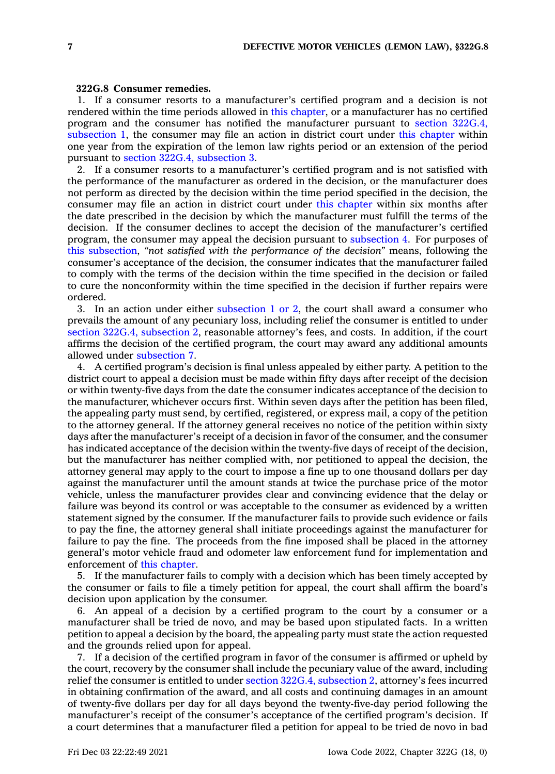### **322G.8 Consumer remedies.**

1. If <sup>a</sup> consumer resorts to <sup>a</sup> manufacturer's certified program and <sup>a</sup> decision is not rendered within the time periods allowed in this [chapter](https://www.legis.iowa.gov/docs/code//322G.pdf), or <sup>a</sup> manufacturer has no certified program and the consumer has notified the manufacturer pursuant to section [322G.4,](https://www.legis.iowa.gov/docs/code/322G.4.pdf) [subsection](https://www.legis.iowa.gov/docs/code/322G.4.pdf) 1, the consumer may file an action in district court under this [chapter](https://www.legis.iowa.gov/docs/code//322G.pdf) within one year from the expiration of the lemon law rights period or an extension of the period pursuant to section 322G.4, [subsection](https://www.legis.iowa.gov/docs/code/322G.4.pdf) 3.

2. If <sup>a</sup> consumer resorts to <sup>a</sup> manufacturer's certified program and is not satisfied with the performance of the manufacturer as ordered in the decision, or the manufacturer does not perform as directed by the decision within the time period specified in the decision, the consumer may file an action in district court under this [chapter](https://www.legis.iowa.gov/docs/code//322G.pdf) within six months after the date prescribed in the decision by which the manufacturer must fulfill the terms of the decision. If the consumer declines to accept the decision of the manufacturer's certified program, the consumer may appeal the decision pursuant to [subsection](https://www.legis.iowa.gov/docs/code/322G.8.pdf) 4. For purposes of this [subsection](https://www.legis.iowa.gov/docs/code/322G.8.pdf), *"not satisfied with the performance of the decision"* means, following the consumer's acceptance of the decision, the consumer indicates that the manufacturer failed to comply with the terms of the decision within the time specified in the decision or failed to cure the nonconformity within the time specified in the decision if further repairs were ordered.

3. In an action under either [subsection](https://www.legis.iowa.gov/docs/code/322G.8.pdf) 1 or 2, the court shall award <sup>a</sup> consumer who prevails the amount of any pecuniary loss, including relief the consumer is entitled to under section 322G.4, [subsection](https://www.legis.iowa.gov/docs/code/322G.4.pdf) 2, reasonable attorney's fees, and costs. In addition, if the court affirms the decision of the certified program, the court may award any additional amounts allowed under [subsection](https://www.legis.iowa.gov/docs/code/322G.8.pdf) 7.

4. A certified program's decision is final unless appealed by either party. A petition to the district court to appeal <sup>a</sup> decision must be made within fifty days after receipt of the decision or within twenty-five days from the date the consumer indicates acceptance of the decision to the manufacturer, whichever occurs first. Within seven days after the petition has been filed, the appealing party must send, by certified, registered, or express mail, <sup>a</sup> copy of the petition to the attorney general. If the attorney general receives no notice of the petition within sixty days after the manufacturer's receipt of <sup>a</sup> decision in favor of the consumer, and the consumer has indicated acceptance of the decision within the twenty-five days of receipt of the decision, but the manufacturer has neither complied with, nor petitioned to appeal the decision, the attorney general may apply to the court to impose <sup>a</sup> fine up to one thousand dollars per day against the manufacturer until the amount stands at twice the purchase price of the motor vehicle, unless the manufacturer provides clear and convincing evidence that the delay or failure was beyond its control or was acceptable to the consumer as evidenced by <sup>a</sup> written statement signed by the consumer. If the manufacturer fails to provide such evidence or fails to pay the fine, the attorney general shall initiate proceedings against the manufacturer for failure to pay the fine. The proceeds from the fine imposed shall be placed in the attorney general's motor vehicle fraud and odometer law enforcement fund for implementation and enforcement of this [chapter](https://www.legis.iowa.gov/docs/code//322G.pdf).

5. If the manufacturer fails to comply with <sup>a</sup> decision which has been timely accepted by the consumer or fails to file <sup>a</sup> timely petition for appeal, the court shall affirm the board's decision upon application by the consumer.

6. An appeal of <sup>a</sup> decision by <sup>a</sup> certified program to the court by <sup>a</sup> consumer or <sup>a</sup> manufacturer shall be tried de novo, and may be based upon stipulated facts. In <sup>a</sup> written petition to appeal <sup>a</sup> decision by the board, the appealing party must state the action requested and the grounds relied upon for appeal.

7. If <sup>a</sup> decision of the certified program in favor of the consumer is affirmed or upheld by the court, recovery by the consumer shall include the pecuniary value of the award, including relief the consumer is entitled to under section 322G.4, [subsection](https://www.legis.iowa.gov/docs/code/322G.4.pdf) 2, attorney's fees incurred in obtaining confirmation of the award, and all costs and continuing damages in an amount of twenty-five dollars per day for all days beyond the twenty-five-day period following the manufacturer's receipt of the consumer's acceptance of the certified program's decision. If <sup>a</sup> court determines that <sup>a</sup> manufacturer filed <sup>a</sup> petition for appeal to be tried de novo in bad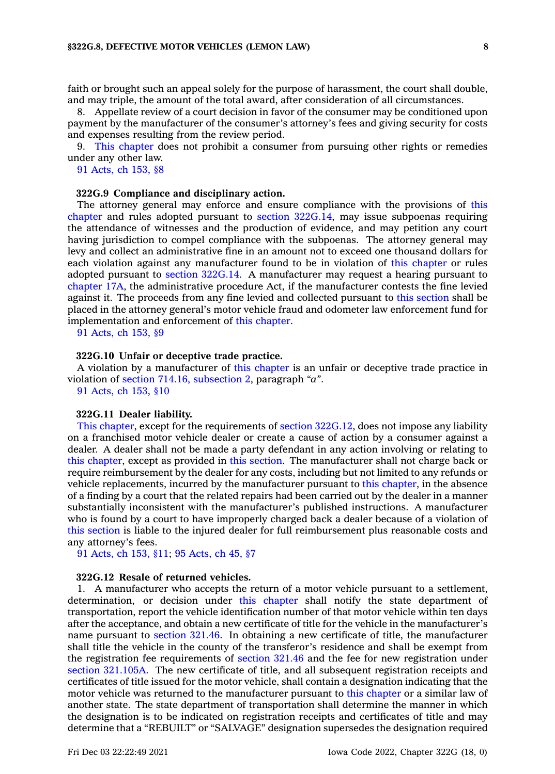faith or brought such an appeal solely for the purpose of harassment, the court shall double, and may triple, the amount of the total award, after consideration of all circumstances.

8. Appellate review of <sup>a</sup> court decision in favor of the consumer may be conditioned upon payment by the manufacturer of the consumer's attorney's fees and giving security for costs and expenses resulting from the review period.

9. This [chapter](https://www.legis.iowa.gov/docs/code//322G.pdf) does not prohibit <sup>a</sup> consumer from pursuing other rights or remedies under any other law.

91 [Acts,](https://www.legis.iowa.gov/docs/acts/1991/CH0153.pdf) ch 153, §8

### **322G.9 Compliance and disciplinary action.**

The attorney general may enforce and ensure compliance with the provisions of [this](https://www.legis.iowa.gov/docs/code//322G.pdf) [chapter](https://www.legis.iowa.gov/docs/code//322G.pdf) and rules adopted pursuant to section [322G.14](https://www.legis.iowa.gov/docs/code/322G.14.pdf), may issue subpoenas requiring the attendance of witnesses and the production of evidence, and may petition any court having jurisdiction to compel compliance with the subpoenas. The attorney general may levy and collect an administrative fine in an amount not to exceed one thousand dollars for each violation against any manufacturer found to be in violation of this [chapter](https://www.legis.iowa.gov/docs/code//322G.pdf) or rules adopted pursuant to section [322G.14](https://www.legis.iowa.gov/docs/code/322G.14.pdf). A manufacturer may request <sup>a</sup> hearing pursuant to [chapter](https://www.legis.iowa.gov/docs/code//17A.pdf) 17A, the administrative procedure Act, if the manufacturer contests the fine levied against it. The proceeds from any fine levied and collected pursuant to this [section](https://www.legis.iowa.gov/docs/code/322G.9.pdf) shall be placed in the attorney general's motor vehicle fraud and odometer law enforcement fund for implementation and enforcement of this [chapter](https://www.legis.iowa.gov/docs/code//322G.pdf).

91 [Acts,](https://www.legis.iowa.gov/docs/acts/1991/CH0153.pdf) ch 153, §9

# **322G.10 Unfair or deceptive trade practice.**

A violation by <sup>a</sup> manufacturer of this [chapter](https://www.legis.iowa.gov/docs/code//322G.pdf) is an unfair or deceptive trade practice in violation of section 714.16, [subsection](https://www.legis.iowa.gov/docs/code/714.16.pdf) 2, paragraph *"a"*.

91 [Acts,](https://www.legis.iowa.gov/docs/acts/1991/CH0153.pdf) ch 153, §10

### **322G.11 Dealer liability.**

This [chapter](https://www.legis.iowa.gov/docs/code//322G.pdf), except for the requirements of section [322G.12](https://www.legis.iowa.gov/docs/code/322G.12.pdf), does not impose any liability on <sup>a</sup> franchised motor vehicle dealer or create <sup>a</sup> cause of action by <sup>a</sup> consumer against <sup>a</sup> dealer. A dealer shall not be made <sup>a</sup> party defendant in any action involving or relating to this [chapter](https://www.legis.iowa.gov/docs/code//322G.pdf), except as provided in this [section](https://www.legis.iowa.gov/docs/code/322G.11.pdf). The manufacturer shall not charge back or require reimbursement by the dealer for any costs, including but not limited to any refunds or vehicle replacements, incurred by the manufacturer pursuant to this [chapter](https://www.legis.iowa.gov/docs/code//322G.pdf), in the absence of <sup>a</sup> finding by <sup>a</sup> court that the related repairs had been carried out by the dealer in <sup>a</sup> manner substantially inconsistent with the manufacturer's published instructions. A manufacturer who is found by <sup>a</sup> court to have improperly charged back <sup>a</sup> dealer because of <sup>a</sup> violation of this [section](https://www.legis.iowa.gov/docs/code/322G.11.pdf) is liable to the injured dealer for full reimbursement plus reasonable costs and any attorney's fees.

91 [Acts,](https://www.legis.iowa.gov/docs/acts/1991/CH0153.pdf) ch 153, §11; 95 [Acts,](https://www.legis.iowa.gov/docs/acts/1995/CH0045.pdf) ch 45, §7

# **322G.12 Resale of returned vehicles.**

1. A manufacturer who accepts the return of <sup>a</sup> motor vehicle pursuant to <sup>a</sup> settlement, determination, or decision under this [chapter](https://www.legis.iowa.gov/docs/code//322G.pdf) shall notify the state department of transportation, report the vehicle identification number of that motor vehicle within ten days after the acceptance, and obtain <sup>a</sup> new certificate of title for the vehicle in the manufacturer's name pursuant to [section](https://www.legis.iowa.gov/docs/code/321.46.pdf) 321.46. In obtaining <sup>a</sup> new certificate of title, the manufacturer shall title the vehicle in the county of the transferor's residence and shall be exempt from the registration fee requirements of [section](https://www.legis.iowa.gov/docs/code/321.46.pdf) 321.46 and the fee for new registration under section [321.105A](https://www.legis.iowa.gov/docs/code/321.105A.pdf). The new certificate of title, and all subsequent registration receipts and certificates of title issued for the motor vehicle, shall contain <sup>a</sup> designation indicating that the motor vehicle was returned to the manufacturer pursuant to this [chapter](https://www.legis.iowa.gov/docs/code//322G.pdf) or <sup>a</sup> similar law of another state. The state department of transportation shall determine the manner in which the designation is to be indicated on registration receipts and certificates of title and may determine that <sup>a</sup> "REBUILT" or "SALVAGE" designation supersedes the designation required